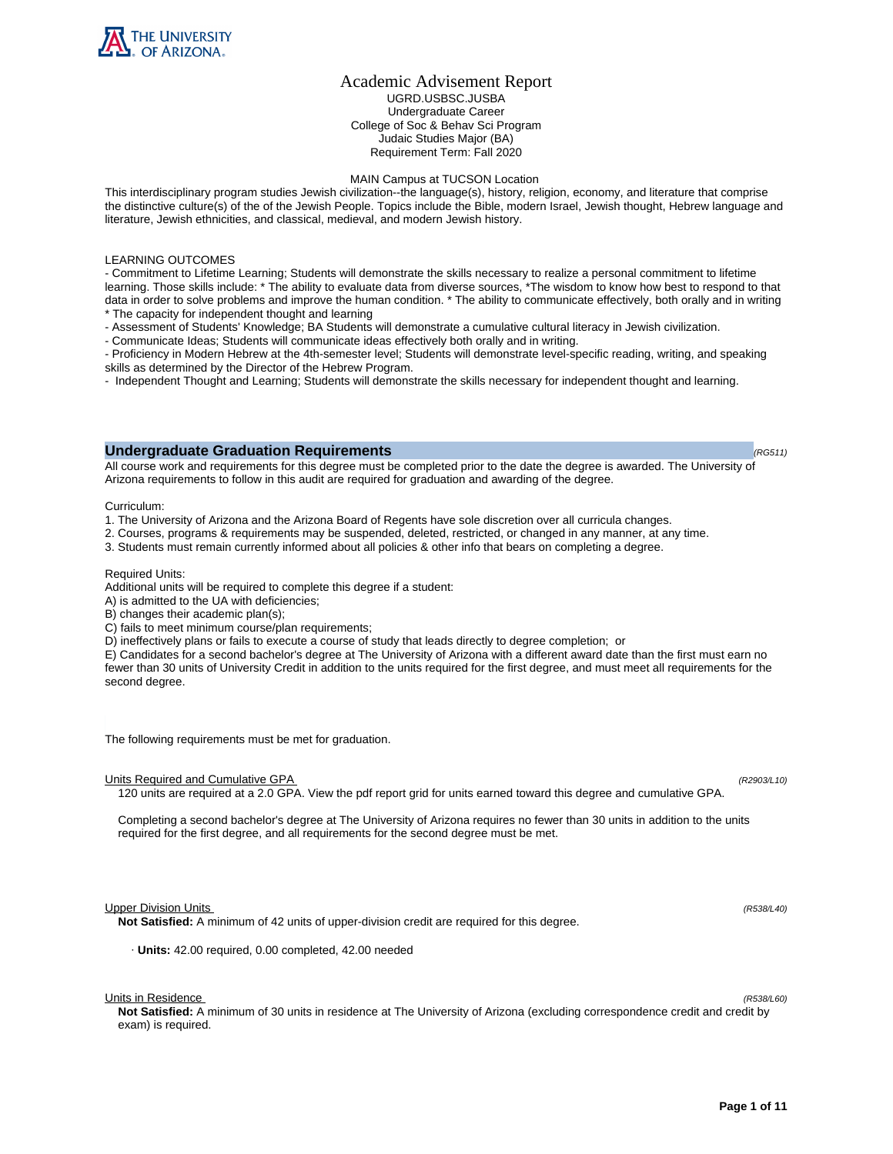

# Academic Advisement Report UGRD.USBSC.JUSBA Undergraduate Career College of Soc & Behav Sci Program Judaic Studies Major (BA) Requirement Term: Fall 2020

#### MAIN Campus at TUCSON Location

This interdisciplinary program studies Jewish civilization--the language(s), history, religion, economy, and literature that comprise the distinctive culture(s) of the of the Jewish People. Topics include the Bible, modern Israel, Jewish thought, Hebrew language and literature, Jewish ethnicities, and classical, medieval, and modern Jewish history.

### LEARNING OUTCOMES

- Commitment to Lifetime Learning; Students will demonstrate the skills necessary to realize a personal commitment to lifetime learning. Those skills include: \* The ability to evaluate data from diverse sources, \*The wisdom to know how best to respond to that data in order to solve problems and improve the human condition. \* The ability to communicate effectively, both orally and in writing \* The capacity for independent thought and learning

- Assessment of Students' Knowledge; BA Students will demonstrate a cumulative cultural literacy in Jewish civilization.
- Communicate Ideas; Students will communicate ideas effectively both orally and in writing.

- Proficiency in Modern Hebrew at the 4th-semester level; Students will demonstrate level-specific reading, writing, and speaking skills as determined by the Director of the Hebrew Program.

- Independent Thought and Learning; Students will demonstrate the skills necessary for independent thought and learning.

# **Undergraduate Graduation Requirements (RG511) (RG511) (RG511) (RG511)**

All course work and requirements for this degree must be completed prior to the date the degree is awarded. The University of

Arizona requirements to follow in this audit are required for graduation and awarding of the degree.

Curriculum:

- 1. The University of Arizona and the Arizona Board of Regents have sole discretion over all curricula changes.
- 2. Courses, programs & requirements may be suspended, deleted, restricted, or changed in any manner, at any time.
- 3. Students must remain currently informed about all policies & other info that bears on completing a degree.

## Required Units:

Additional units will be required to complete this degree if a student:

- A) is admitted to the UA with deficiencies;
- B) changes their academic plan(s);
- C) fails to meet minimum course/plan requirements;
- D) ineffectively plans or fails to execute a course of study that leads directly to degree completion; or

E) Candidates for a second bachelor's degree at The University of Arizona with a different award date than the first must earn no fewer than 30 units of University Credit in addition to the units required for the first degree, and must meet all requirements for the second degree.

The following requirements must be met for graduation.

#### Units Required and Cumulative GPA (R2903/L10)

120 units are required at a 2.0 GPA. View the pdf report grid for units earned toward this degree and cumulative GPA.

Completing a second bachelor's degree at The University of Arizona requires no fewer than 30 units in addition to the units required for the first degree, and all requirements for the second degree must be met.

#### Upper Division Units (R538/L40)

**Not Satisfied:** A minimum of 42 units of upper-division credit are required for this degree.

· **Units:** 42.00 required, 0.00 completed, 42.00 needed

Units in Residence (R538/L60)

**Not Satisfied:** A minimum of 30 units in residence at The University of Arizona (excluding correspondence credit and credit by exam) is required.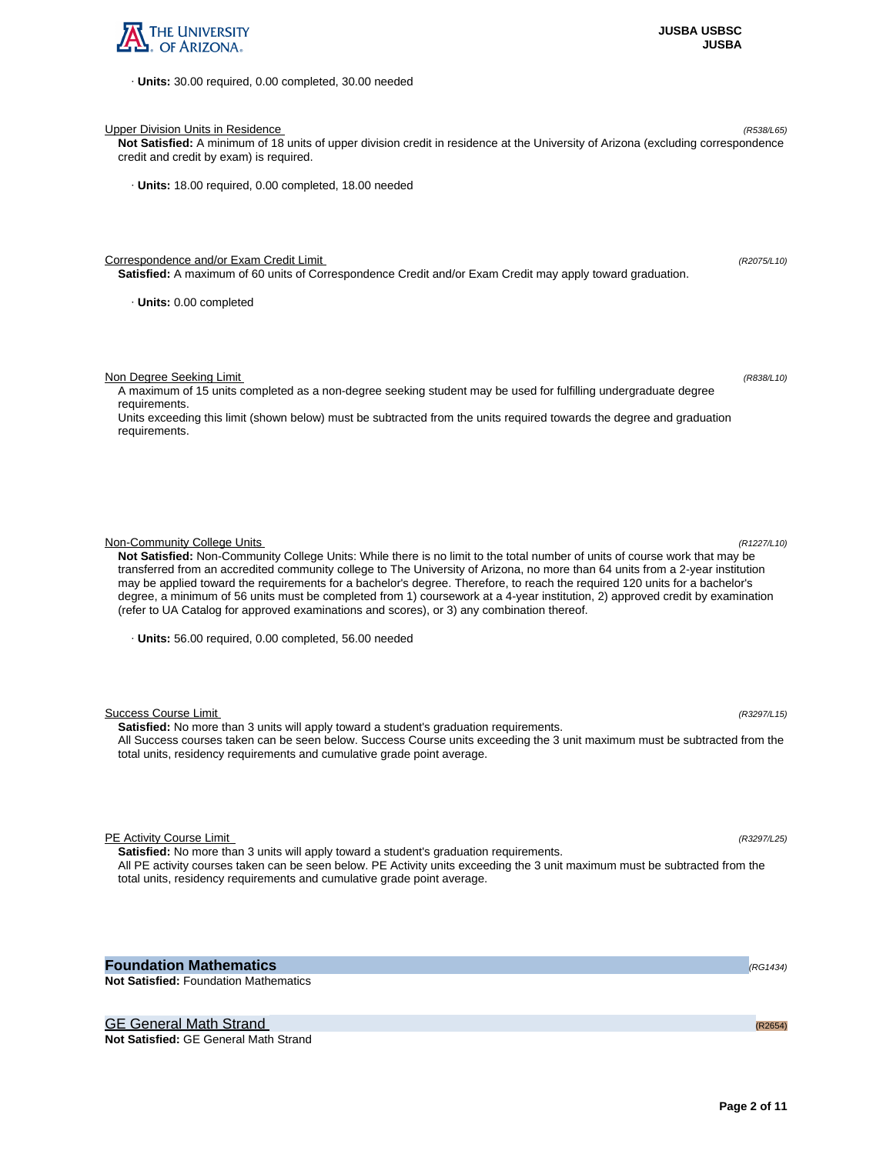

· **Units:** 30.00 required, 0.00 completed, 30.00 needed

Upper Division Units in Residence (R538/L65)

**Not Satisfied:** A minimum of 18 units of upper division credit in residence at the University of Arizona (excluding correspondence credit and credit by exam) is required.

· **Units:** 18.00 required, 0.00 completed, 18.00 needed

Correspondence and/or Exam Credit Limit (R2075/L10) (R2075/L10)

**Satisfied:** A maximum of 60 units of Correspondence Credit and/or Exam Credit may apply toward graduation.

· **Units:** 0.00 completed

Non Degree Seeking Limit (R838/L10)

A maximum of 15 units completed as a non-degree seeking student may be used for fulfilling undergraduate degree requirements.

Units exceeding this limit (shown below) must be subtracted from the units required towards the degree and graduation requirements.

Non-Community College Units (R1227/L10)

**Not Satisfied:** Non-Community College Units: While there is no limit to the total number of units of course work that may be transferred from an accredited community college to The University of Arizona, no more than 64 units from a 2-year institution may be applied toward the requirements for a bachelor's degree. Therefore, to reach the required 120 units for a bachelor's degree, a minimum of 56 units must be completed from 1) coursework at a 4-year institution, 2) approved credit by examination (refer to UA Catalog for approved examinations and scores), or 3) any combination thereof.

· **Units:** 56.00 required, 0.00 completed, 56.00 needed

Success Course Limit (R3297/L15) **Satisfied:** No more than 3 units will apply toward a student's graduation requirements. All Success courses taken can be seen below. Success Course units exceeding the 3 unit maximum must be subtracted from the total units, residency requirements and cumulative grade point average.

PE Activity Course Limit (R3297/L25)

**Satisfied:** No more than 3 units will apply toward a student's graduation requirements. All PE activity courses taken can be seen below. PE Activity units exceeding the 3 unit maximum must be subtracted from the total units, residency requirements and cumulative grade point average.

**Foundation Mathematics (RG1434) (RG1434) (RG1434) Not Satisfied:** Foundation Mathematics

GE General Math Strand (R2654) and the control of the control of the control of the control of the control of the control of the control of the control of the control of the control of the control of the control of the con

**Not Satisfied:** GE General Math Strand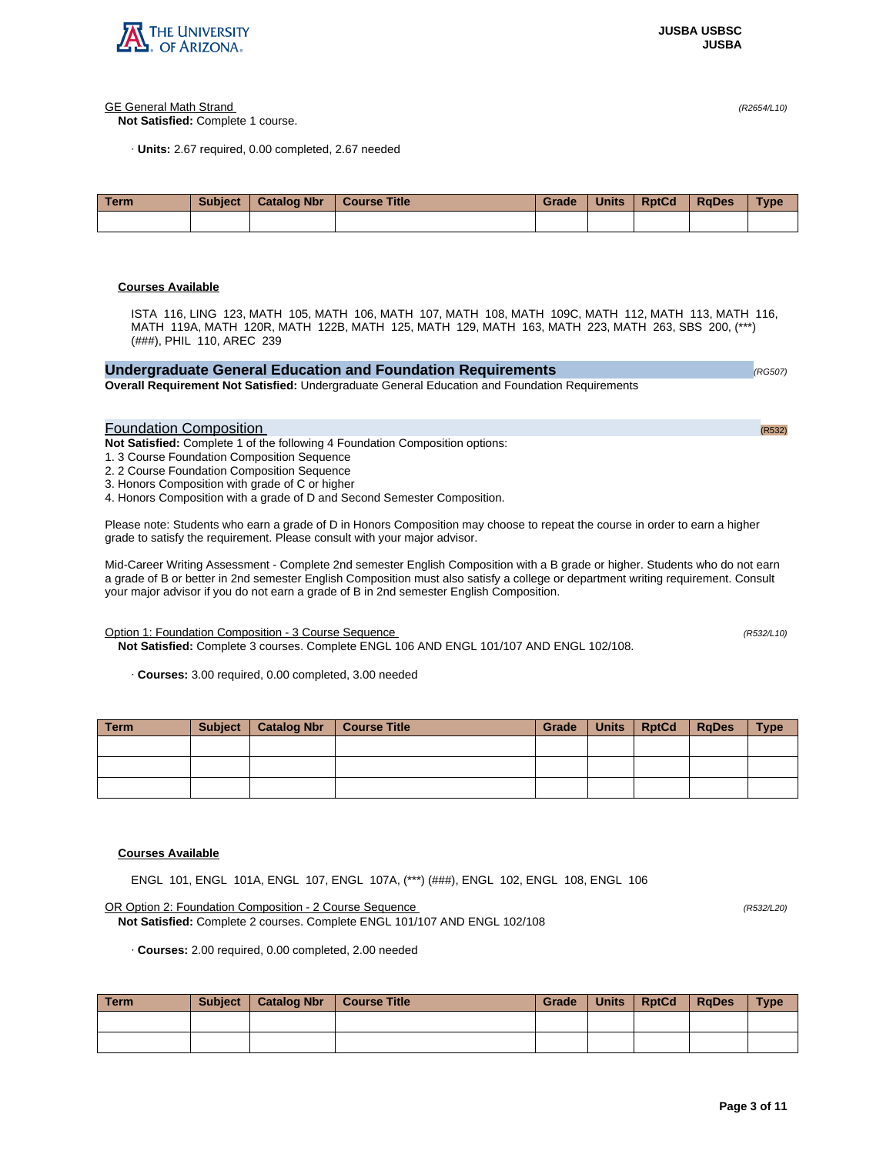

## GE General Math Strand (R2654/L10)

**Not Satisfied:** Complete 1 course.

· **Units:** 2.67 required, 0.00 completed, 2.67 needed

| Term | <b>Subject</b> | <b>Catalog Nbr</b> | Course Title | Grade | <b>Units</b> | <b>RptCd</b> | <b>RaDes</b> | <b>Type</b> |
|------|----------------|--------------------|--------------|-------|--------------|--------------|--------------|-------------|
|      |                |                    |              |       |              |              |              |             |

# **Courses Available**

ISTA 116, LING 123, MATH 105, MATH 106, MATH 107, MATH 108, MATH 109C, MATH 112, MATH 113, MATH 116, MATH 119A, MATH 120R, MATH 122B, MATH 125, MATH 129, MATH 163, MATH 223, MATH 263, SBS 200, (\*\*\*) (###), PHIL 110, AREC 239

| Undergraduate General Education and Foundation Requirements                                           | (RG507) |
|-------------------------------------------------------------------------------------------------------|---------|
| <b>Overall Requirement Not Satisfied: Undergraduate General Education and Foundation Requirements</b> |         |
|                                                                                                       |         |

# Foundation Composition (R532)

**Not Satisfied:** Complete 1 of the following 4 Foundation Composition options:

1. 3 Course Foundation Composition Sequence

2. 2 Course Foundation Composition Sequence

3. Honors Composition with grade of C or higher

4. Honors Composition with a grade of D and Second Semester Composition.

Please note: Students who earn a grade of D in Honors Composition may choose to repeat the course in order to earn a higher grade to satisfy the requirement. Please consult with your major advisor.

Mid-Career Writing Assessment - Complete 2nd semester English Composition with a B grade or higher. Students who do not earn a grade of B or better in 2nd semester English Composition must also satisfy a college or department writing requirement. Consult your major advisor if you do not earn a grade of B in 2nd semester English Composition.

Option 1: Foundation Composition - 3 Course Sequence (R532/L10)

**Not Satisfied:** Complete 3 courses. Complete ENGL 106 AND ENGL 101/107 AND ENGL 102/108.

· **Courses:** 3.00 required, 0.00 completed, 3.00 needed

| Term | Subject | Catalog Nbr   Course Title | Grade | Units   RptCd | <b>RgDes</b> | <b>Type</b> |
|------|---------|----------------------------|-------|---------------|--------------|-------------|
|      |         |                            |       |               |              |             |
|      |         |                            |       |               |              |             |
|      |         |                            |       |               |              |             |

# **Courses Available**

ENGL 101, ENGL 101A, ENGL 107, ENGL 107A, (\*\*\*) (###), ENGL 102, ENGL 108, ENGL 106

## OR Option 2: Foundation Composition - 2 Course Sequence (R532/L20)

**Not Satisfied:** Complete 2 courses. Complete ENGL 101/107 AND ENGL 102/108

· **Courses:** 2.00 required, 0.00 completed, 2.00 needed

| <b>Term</b> | Subject | Catalog Nbr   Course Title | Grade | Units   RptCd | RaDes | <b>Type</b> |
|-------------|---------|----------------------------|-------|---------------|-------|-------------|
|             |         |                            |       |               |       |             |
|             |         |                            |       |               |       |             |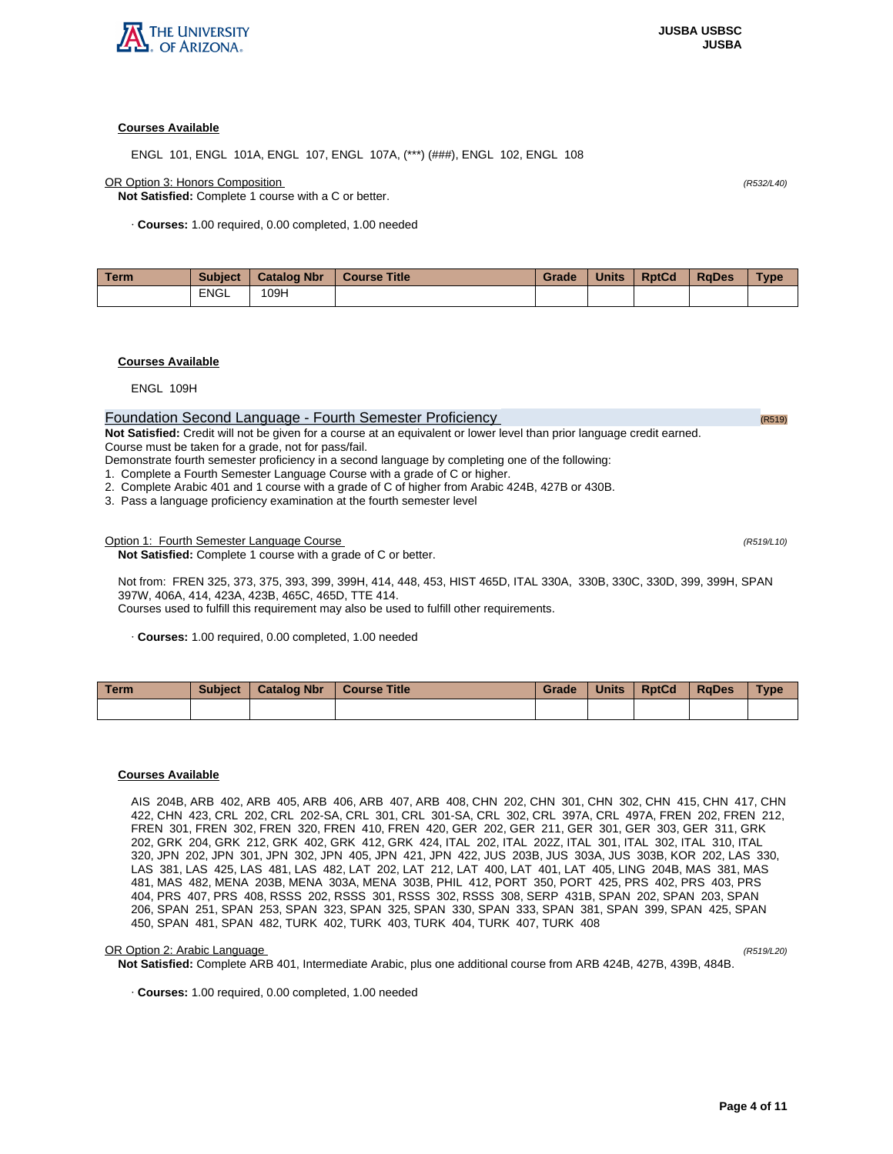

ENGL 101, ENGL 101A, ENGL 107, ENGL 107A, (\*\*\*) (###), ENGL 102, ENGL 108

OR Option 3: Honors Composition (R532/L40)

**Not Satisfied:** Complete 1 course with a C or better.

· **Courses:** 1.00 required, 0.00 completed, 1.00 needed

| <b>Term</b> | <b>Subject</b> | Catalog Nbr | Course Title | Grade | <b>Units</b> | <b>RptCd</b> | <b>RaDes</b> | Type |
|-------------|----------------|-------------|--------------|-------|--------------|--------------|--------------|------|
|             | <b>ENGL</b>    | 109H        |              |       |              |              |              |      |

## **Courses Available**

ENGL 109H

# Foundation Second Language - Fourth Semester Proficiency (R519)

**Not Satisfied:** Credit will not be given for a course at an equivalent or lower level than prior language credit earned. Course must be taken for a grade, not for pass/fail.

Demonstrate fourth semester proficiency in a second language by completing one of the following:

1. Complete a Fourth Semester Language Course with a grade of C or higher.

2. Complete Arabic 401 and 1 course with a grade of C of higher from Arabic 424B, 427B or 430B.

3. Pass a language proficiency examination at the fourth semester level

## Option 1: Fourth Semester Language Course (R519/L10) (R519/L10)

**Not Satisfied:** Complete 1 course with a grade of C or better.

Not from: FREN 325, 373, 375, 393, 399, 399H, 414, 448, 453, HIST 465D, ITAL 330A, 330B, 330C, 330D, 399, 399H, SPAN 397W, 406A, 414, 423A, 423B, 465C, 465D, TTE 414.

Courses used to fulfill this requirement may also be used to fulfill other requirements.

· **Courses:** 1.00 required, 0.00 completed, 1.00 needed

| Term. | <b>Subject</b> | <b>Catalog Nbr</b> | <b>Course Title</b> | Grade | <b>Units</b> | <b>RptCd</b> | RaDes | <b>Type</b> |
|-------|----------------|--------------------|---------------------|-------|--------------|--------------|-------|-------------|
|       |                |                    |                     |       |              |              |       |             |

# **Courses Available**

AIS 204B, ARB 402, ARB 405, ARB 406, ARB 407, ARB 408, CHN 202, CHN 301, CHN 302, CHN 415, CHN 417, CHN 422, CHN 423, CRL 202, CRL 202-SA, CRL 301, CRL 301-SA, CRL 302, CRL 397A, CRL 497A, FREN 202, FREN 212, FREN 301, FREN 302, FREN 320, FREN 410, FREN 420, GER 202, GER 211, GER 301, GER 303, GER 311, GRK 202, GRK 204, GRK 212, GRK 402, GRK 412, GRK 424, ITAL 202, ITAL 202Z, ITAL 301, ITAL 302, ITAL 310, ITAL 320, JPN 202, JPN 301, JPN 302, JPN 405, JPN 421, JPN 422, JUS 203B, JUS 303A, JUS 303B, KOR 202, LAS 330, LAS 381, LAS 425, LAS 481, LAS 482, LAT 202, LAT 212, LAT 400, LAT 401, LAT 405, LING 204B, MAS 381, MAS 481, MAS 482, MENA 203B, MENA 303A, MENA 303B, PHIL 412, PORT 350, PORT 425, PRS 402, PRS 403, PRS 404, PRS 407, PRS 408, RSSS 202, RSSS 301, RSSS 302, RSSS 308, SERP 431B, SPAN 202, SPAN 203, SPAN 206, SPAN 251, SPAN 253, SPAN 323, SPAN 325, SPAN 330, SPAN 333, SPAN 381, SPAN 399, SPAN 425, SPAN 450, SPAN 481, SPAN 482, TURK 402, TURK 403, TURK 404, TURK 407, TURK 408

#### OR Option 2: Arabic Language (R519/L20)

**Not Satisfied:** Complete ARB 401, Intermediate Arabic, plus one additional course from ARB 424B, 427B, 439B, 484B.

· **Courses:** 1.00 required, 0.00 completed, 1.00 needed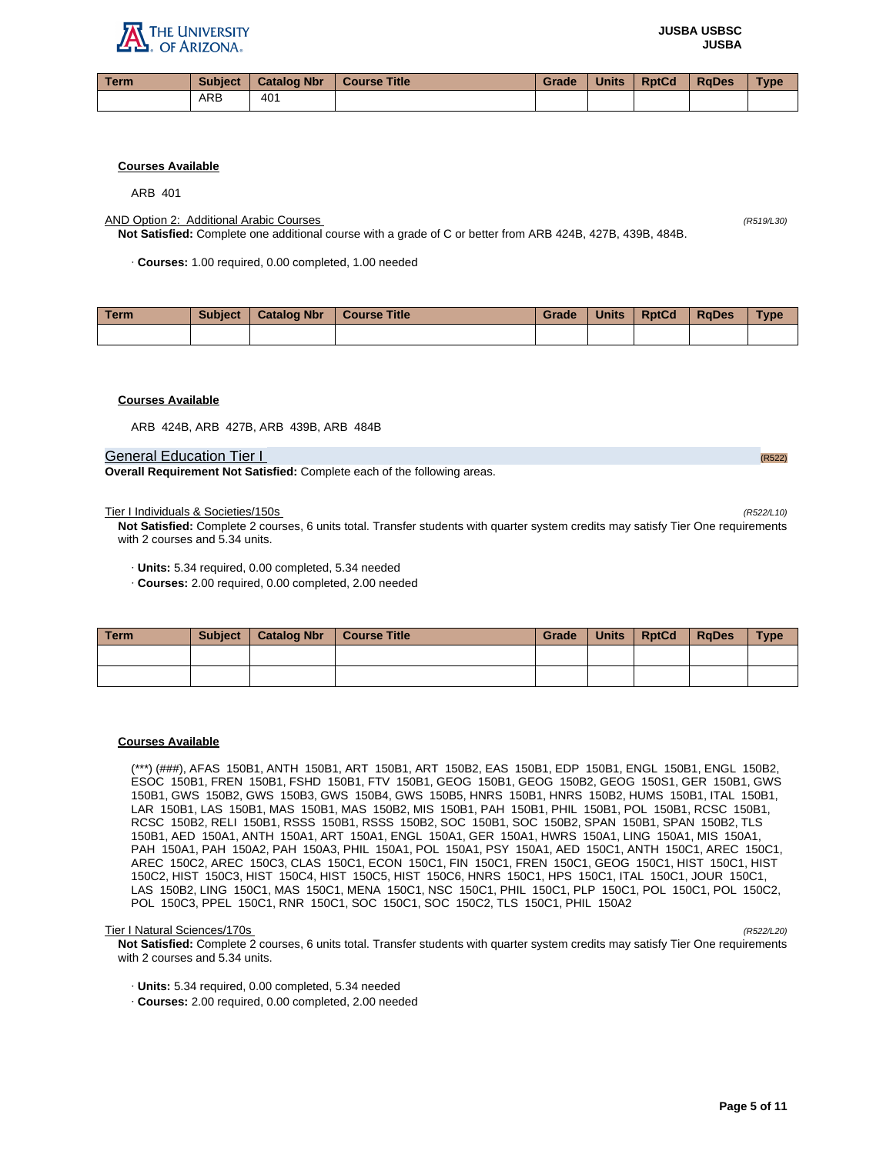

| Term |            | Subject   Catalog Nbr   Course Title | Grade | Units | RptCd | <b>RaDes</b> | Type |
|------|------------|--------------------------------------|-------|-------|-------|--------------|------|
|      | <b>ARB</b> | 401                                  |       |       |       |              |      |

ARB 401

AND Option 2: Additional Arabic Courses (R519/L30)

**Not Satisfied:** Complete one additional course with a grade of C or better from ARB 424B, 427B, 439B, 484B.

· **Courses:** 1.00 required, 0.00 completed, 1.00 needed

| Term. | <b>Subject</b> | <b>Catalog Nbr</b> | <b>Course Title</b> | Grade | <b>Units</b> | <b>RptCd</b> | <b>RaDes</b> | <b>Type</b> |
|-------|----------------|--------------------|---------------------|-------|--------------|--------------|--------------|-------------|
|       |                |                    |                     |       |              |              |              |             |

## **Courses Available**

ARB 424B, ARB 427B, ARB 439B, ARB 484B

#### General Education Tier I (R522) And the Contract of the Contract of the Contract of the Contract of the Contract of the Contract of the Contract of the Contract of the Contract of the Contract of the Contract of the Contra

**Overall Requirement Not Satisfied:** Complete each of the following areas.

Tier I Individuals & Societies/150s (R522/L10)

**Not Satisfied:** Complete 2 courses, 6 units total. Transfer students with quarter system credits may satisfy Tier One requirements with 2 courses and 5.34 units.

- · **Units:** 5.34 required, 0.00 completed, 5.34 needed
- · **Courses:** 2.00 required, 0.00 completed, 2.00 needed

| Term | Subject   Catalog Nbr   Course Title | Grade | <b>Units</b> | <b>RptCd</b> | RaDes | <b>Type</b> |
|------|--------------------------------------|-------|--------------|--------------|-------|-------------|
|      |                                      |       |              |              |       |             |
|      |                                      |       |              |              |       |             |

#### **Courses Available**

(\*\*\*) (###), AFAS 150B1, ANTH 150B1, ART 150B1, ART 150B2, EAS 150B1, EDP 150B1, ENGL 150B1, ENGL 150B2, ESOC 150B1, FREN 150B1, FSHD 150B1, FTV 150B1, GEOG 150B1, GEOG 150B2, GEOG 150S1, GER 150B1, GWS 150B1, GWS 150B2, GWS 150B3, GWS 150B4, GWS 150B5, HNRS 150B1, HNRS 150B2, HUMS 150B1, ITAL 150B1, LAR 150B1, LAS 150B1, MAS 150B1, MAS 150B2, MIS 150B1, PAH 150B1, PHIL 150B1, POL 150B1, RCSC 150B1, RCSC 150B2, RELI 150B1, RSSS 150B1, RSSS 150B2, SOC 150B1, SOC 150B2, SPAN 150B1, SPAN 150B2, TLS 150B1, AED 150A1, ANTH 150A1, ART 150A1, ENGL 150A1, GER 150A1, HWRS 150A1, LING 150A1, MIS 150A1, PAH 150A1, PAH 150A2, PAH 150A3, PHIL 150A1, POL 150A1, PSY 150A1, AED 150C1, ANTH 150C1, AREC 150C1, AREC 150C2, AREC 150C3, CLAS 150C1, ECON 150C1, FIN 150C1, FREN 150C1, GEOG 150C1, HIST 150C1, HIST 150C2, HIST 150C3, HIST 150C4, HIST 150C5, HIST 150C6, HNRS 150C1, HPS 150C1, ITAL 150C1, JOUR 150C1, LAS 150B2, LING 150C1, MAS 150C1, MENA 150C1, NSC 150C1, PHIL 150C1, PLP 150C1, POL 150C1, POL 150C2, POL 150C3, PPEL 150C1, RNR 150C1, SOC 150C1, SOC 150C2, TLS 150C1, PHIL 150A2

#### Tier I Natural Sciences/170s (R522/L20)

**Not Satisfied:** Complete 2 courses, 6 units total. Transfer students with quarter system credits may satisfy Tier One requirements with 2 courses and 5.34 units.

· **Units:** 5.34 required, 0.00 completed, 5.34 needed

· **Courses:** 2.00 required, 0.00 completed, 2.00 needed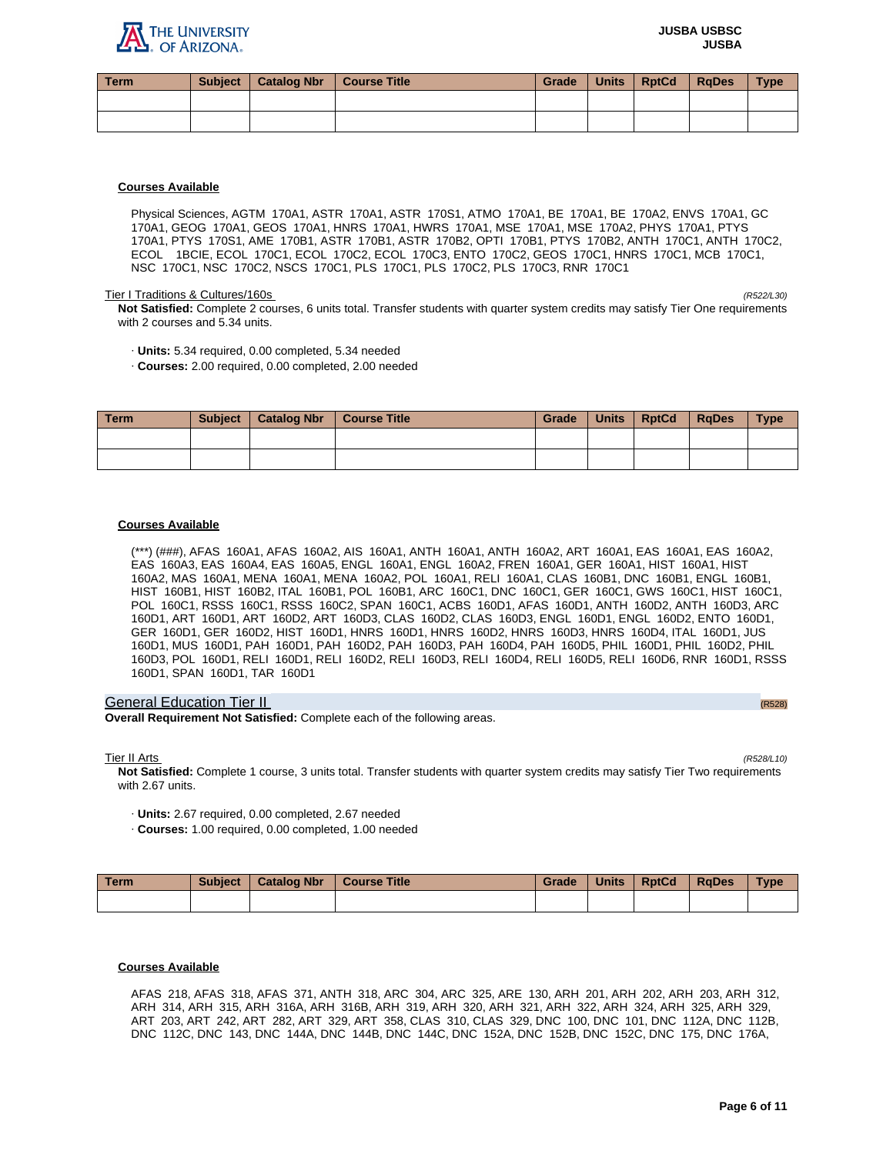

| Term | Subject   Catalog Nbr | <b>Course Title</b> | Grade | <b>Units</b> | <b>RptCd</b> | <b>RaDes</b> | <b>Type</b> |
|------|-----------------------|---------------------|-------|--------------|--------------|--------------|-------------|
|      |                       |                     |       |              |              |              |             |
|      |                       |                     |       |              |              |              |             |

Physical Sciences, AGTM 170A1, ASTR 170A1, ASTR 170S1, ATMO 170A1, BE 170A1, BE 170A2, ENVS 170A1, GC 170A1, GEOG 170A1, GEOS 170A1, HNRS 170A1, HWRS 170A1, MSE 170A1, MSE 170A2, PHYS 170A1, PTYS 170A1, PTYS 170S1, AME 170B1, ASTR 170B1, ASTR 170B2, OPTI 170B1, PTYS 170B2, ANTH 170C1, ANTH 170C2, ECOL 1BCIE, ECOL 170C1, ECOL 170C2, ECOL 170C3, ENTO 170C2, GEOS 170C1, HNRS 170C1, MCB 170C1, NSC 170C1, NSC 170C2, NSCS 170C1, PLS 170C1, PLS 170C2, PLS 170C3, RNR 170C1

## Tier I Traditions & Cultures/160s (R522/L30)

**Not Satisfied:** Complete 2 courses, 6 units total. Transfer students with quarter system credits may satisfy Tier One requirements with 2 courses and 5.34 units.

- · **Units:** 5.34 required, 0.00 completed, 5.34 needed
- · **Courses:** 2.00 required, 0.00 completed, 2.00 needed

| Term | <b>Subject</b> | <b>Catalog Nbr</b> | Course Title | Grade | <b>Units</b> | <b>RptCd</b> | RaDes | <b>Type</b> |
|------|----------------|--------------------|--------------|-------|--------------|--------------|-------|-------------|
|      |                |                    |              |       |              |              |       |             |
|      |                |                    |              |       |              |              |       |             |

## **Courses Available**

(\*\*\*) (###), AFAS 160A1, AFAS 160A2, AIS 160A1, ANTH 160A1, ANTH 160A2, ART 160A1, EAS 160A1, EAS 160A2, EAS 160A3, EAS 160A4, EAS 160A5, ENGL 160A1, ENGL 160A2, FREN 160A1, GER 160A1, HIST 160A1, HIST 160A2, MAS 160A1, MENA 160A1, MENA 160A2, POL 160A1, RELI 160A1, CLAS 160B1, DNC 160B1, ENGL 160B1, HIST 160B1, HIST 160B2, ITAL 160B1, POL 160B1, ARC 160C1, DNC 160C1, GER 160C1, GWS 160C1, HIST 160C1, POL 160C1, RSSS 160C1, RSSS 160C2, SPAN 160C1, ACBS 160D1, AFAS 160D1, ANTH 160D2, ANTH 160D3, ARC 160D1, ART 160D1, ART 160D2, ART 160D3, CLAS 160D2, CLAS 160D3, ENGL 160D1, ENGL 160D2, ENTO 160D1, GER 160D1, GER 160D2, HIST 160D1, HNRS 160D1, HNRS 160D2, HNRS 160D3, HNRS 160D4, ITAL 160D1, JUS 160D1, MUS 160D1, PAH 160D1, PAH 160D2, PAH 160D3, PAH 160D4, PAH 160D5, PHIL 160D1, PHIL 160D2, PHIL 160D3, POL 160D1, RELI 160D1, RELI 160D2, RELI 160D3, RELI 160D4, RELI 160D5, RELI 160D6, RNR 160D1, RSSS 160D1, SPAN 160D1, TAR 160D1

## General Education Tier II (R528) (R528) (R528) (R528) (R528) (R528) (R528) (R528)

**Overall Requirement Not Satisfied:** Complete each of the following areas.

Tier II Arts (R528/L10)

**Not Satisfied:** Complete 1 course, 3 units total. Transfer students with quarter system credits may satisfy Tier Two requirements with 2.67 units.

· **Units:** 2.67 required, 0.00 completed, 2.67 needed

· **Courses:** 1.00 required, 0.00 completed, 1.00 needed

| Term | <b>Subject</b> | <b>Catalog Nbr</b> | Course Title | Grade | <b>Units</b> | <b>RptCd</b> | RaDes | <b>Type</b> |
|------|----------------|--------------------|--------------|-------|--------------|--------------|-------|-------------|
|      |                |                    |              |       |              |              |       |             |

# **Courses Available**

AFAS 218, AFAS 318, AFAS 371, ANTH 318, ARC 304, ARC 325, ARE 130, ARH 201, ARH 202, ARH 203, ARH 312, ARH 314, ARH 315, ARH 316A, ARH 316B, ARH 319, ARH 320, ARH 321, ARH 322, ARH 324, ARH 325, ARH 329, ART 203, ART 242, ART 282, ART 329, ART 358, CLAS 310, CLAS 329, DNC 100, DNC 101, DNC 112A, DNC 112B, DNC 112C, DNC 143, DNC 144A, DNC 144B, DNC 144C, DNC 152A, DNC 152B, DNC 152C, DNC 175, DNC 176A,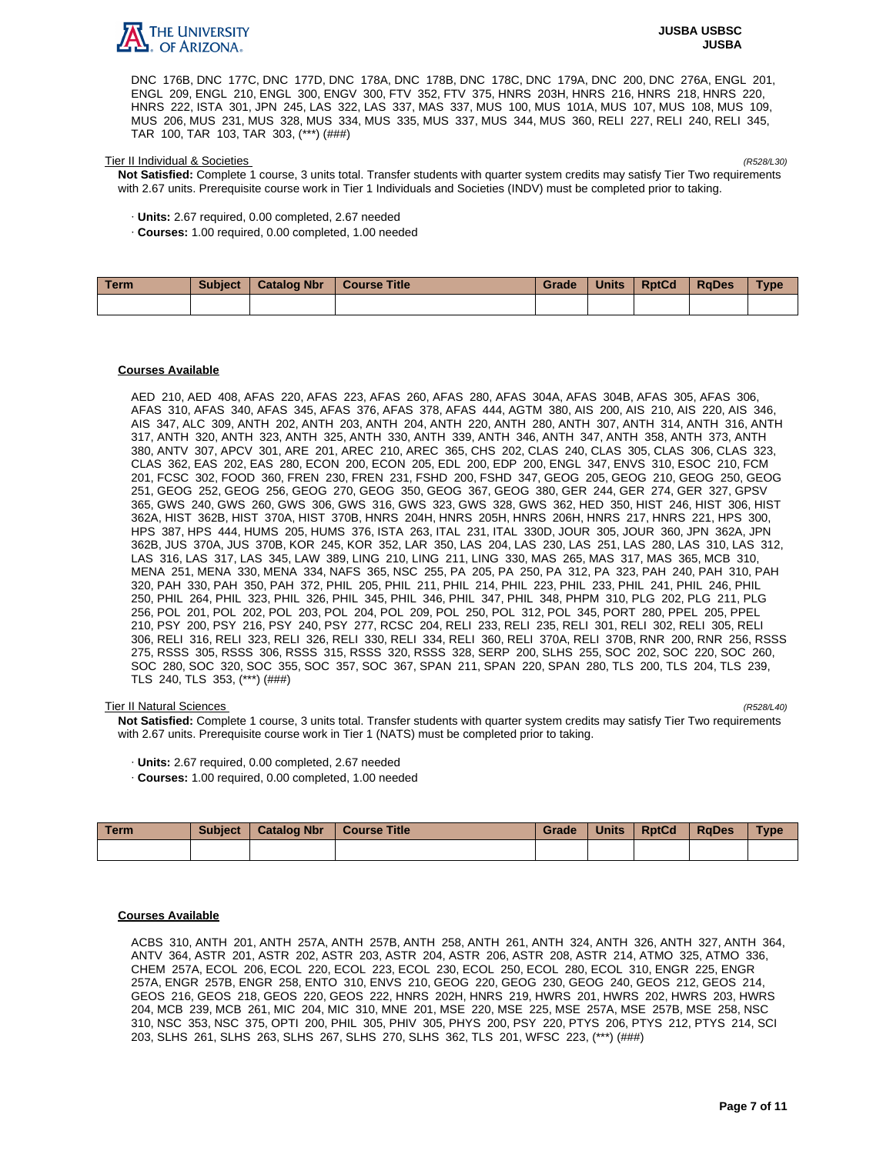

DNC 176B, DNC 177C, DNC 177D, DNC 178A, DNC 178B, DNC 178C, DNC 179A, DNC 200, DNC 276A, ENGL 201, ENGL 209, ENGL 210, ENGL 300, ENGV 300, FTV 352, FTV 375, HNRS 203H, HNRS 216, HNRS 218, HNRS 220, HNRS 222, ISTA 301, JPN 245, LAS 322, LAS 337, MAS 337, MUS 100, MUS 101A, MUS 107, MUS 108, MUS 109, MUS 206, MUS 231, MUS 328, MUS 334, MUS 335, MUS 337, MUS 344, MUS 360, RELI 227, RELI 240, RELI 345, TAR 100, TAR 103, TAR 303, (\*\*\*) (###)

#### Tier II Individual & Societies (R528/L30)

**Not Satisfied:** Complete 1 course, 3 units total. Transfer students with quarter system credits may satisfy Tier Two requirements with 2.67 units. Prerequisite course work in Tier 1 Individuals and Societies (INDV) must be completed prior to taking.

· **Units:** 2.67 required, 0.00 completed, 2.67 needed

· **Courses:** 1.00 required, 0.00 completed, 1.00 needed

| Term | <b>Subject</b> | <b>Catalog Nbr</b> | <b>Course Title</b> | Grade | <b>Units</b> | <b>RptCd</b> | <b>RaDes</b> | <b>Type</b> |
|------|----------------|--------------------|---------------------|-------|--------------|--------------|--------------|-------------|
|      |                |                    |                     |       |              |              |              |             |

## **Courses Available**

AED 210, AED 408, AFAS 220, AFAS 223, AFAS 260, AFAS 280, AFAS 304A, AFAS 304B, AFAS 305, AFAS 306, AFAS 310, AFAS 340, AFAS 345, AFAS 376, AFAS 378, AFAS 444, AGTM 380, AIS 200, AIS 210, AIS 220, AIS 346, AIS 347, ALC 309, ANTH 202, ANTH 203, ANTH 204, ANTH 220, ANTH 280, ANTH 307, ANTH 314, ANTH 316, ANTH 317, ANTH 320, ANTH 323, ANTH 325, ANTH 330, ANTH 339, ANTH 346, ANTH 347, ANTH 358, ANTH 373, ANTH 380, ANTV 307, APCV 301, ARE 201, AREC 210, AREC 365, CHS 202, CLAS 240, CLAS 305, CLAS 306, CLAS 323, CLAS 362, EAS 202, EAS 280, ECON 200, ECON 205, EDL 200, EDP 200, ENGL 347, ENVS 310, ESOC 210, FCM 201, FCSC 302, FOOD 360, FREN 230, FREN 231, FSHD 200, FSHD 347, GEOG 205, GEOG 210, GEOG 250, GEOG 251, GEOG 252, GEOG 256, GEOG 270, GEOG 350, GEOG 367, GEOG 380, GER 244, GER 274, GER 327, GPSV 365, GWS 240, GWS 260, GWS 306, GWS 316, GWS 323, GWS 328, GWS 362, HED 350, HIST 246, HIST 306, HIST 362A, HIST 362B, HIST 370A, HIST 370B, HNRS 204H, HNRS 205H, HNRS 206H, HNRS 217, HNRS 221, HPS 300, HPS 387, HPS 444, HUMS 205, HUMS 376, ISTA 263, ITAL 231, ITAL 330D, JOUR 305, JOUR 360, JPN 362A, JPN 362B, JUS 370A, JUS 370B, KOR 245, KOR 352, LAR 350, LAS 204, LAS 230, LAS 251, LAS 280, LAS 310, LAS 312, LAS 316, LAS 317, LAS 345, LAW 389, LING 210, LING 211, LING 330, MAS 265, MAS 317, MAS 365, MCB 310, MENA 251, MENA 330, MENA 334, NAFS 365, NSC 255, PA 205, PA 250, PA 312, PA 323, PAH 240, PAH 310, PAH 320, PAH 330, PAH 350, PAH 372, PHIL 205, PHIL 211, PHIL 214, PHIL 223, PHIL 233, PHIL 241, PHIL 246, PHIL 250, PHIL 264, PHIL 323, PHIL 326, PHIL 345, PHIL 346, PHIL 347, PHIL 348, PHPM 310, PLG 202, PLG 211, PLG 256, POL 201, POL 202, POL 203, POL 204, POL 209, POL 250, POL 312, POL 345, PORT 280, PPEL 205, PPEL 210, PSY 200, PSY 216, PSY 240, PSY 277, RCSC 204, RELI 233, RELI 235, RELI 301, RELI 302, RELI 305, RELI 306, RELI 316, RELI 323, RELI 326, RELI 330, RELI 334, RELI 360, RELI 370A, RELI 370B, RNR 200, RNR 256, RSSS 275, RSSS 305, RSSS 306, RSSS 315, RSSS 320, RSSS 328, SERP 200, SLHS 255, SOC 202, SOC 220, SOC 260, SOC 280, SOC 320, SOC 355, SOC 357, SOC 367, SPAN 211, SPAN 220, SPAN 280, TLS 200, TLS 204, TLS 239, TLS 240, TLS 353, (\*\*\*) (###)

#### Tier II Natural Sciences (R528/L40)

**Not Satisfied:** Complete 1 course, 3 units total. Transfer students with quarter system credits may satisfy Tier Two requirements with 2.67 units. Prerequisite course work in Tier 1 (NATS) must be completed prior to taking.

· **Units:** 2.67 required, 0.00 completed, 2.67 needed

· **Courses:** 1.00 required, 0.00 completed, 1.00 needed

| Term | Subject | Catalog Nbr   Course Title | Grade | Units   RptCd | RaDes | <b>Type</b> |
|------|---------|----------------------------|-------|---------------|-------|-------------|
|      |         |                            |       |               |       |             |

# **Courses Available**

ACBS 310, ANTH 201, ANTH 257A, ANTH 257B, ANTH 258, ANTH 261, ANTH 324, ANTH 326, ANTH 327, ANTH 364, ANTV 364, ASTR 201, ASTR 202, ASTR 203, ASTR 204, ASTR 206, ASTR 208, ASTR 214, ATMO 325, ATMO 336, CHEM 257A, ECOL 206, ECOL 220, ECOL 223, ECOL 230, ECOL 250, ECOL 280, ECOL 310, ENGR 225, ENGR 257A, ENGR 257B, ENGR 258, ENTO 310, ENVS 210, GEOG 220, GEOG 230, GEOG 240, GEOS 212, GEOS 214, GEOS 216, GEOS 218, GEOS 220, GEOS 222, HNRS 202H, HNRS 219, HWRS 201, HWRS 202, HWRS 203, HWRS 204, MCB 239, MCB 261, MIC 204, MIC 310, MNE 201, MSE 220, MSE 225, MSE 257A, MSE 257B, MSE 258, NSC 310, NSC 353, NSC 375, OPTI 200, PHIL 305, PHIV 305, PHYS 200, PSY 220, PTYS 206, PTYS 212, PTYS 214, SCI 203, SLHS 261, SLHS 263, SLHS 267, SLHS 270, SLHS 362, TLS 201, WFSC 223, (\*\*\*) (###)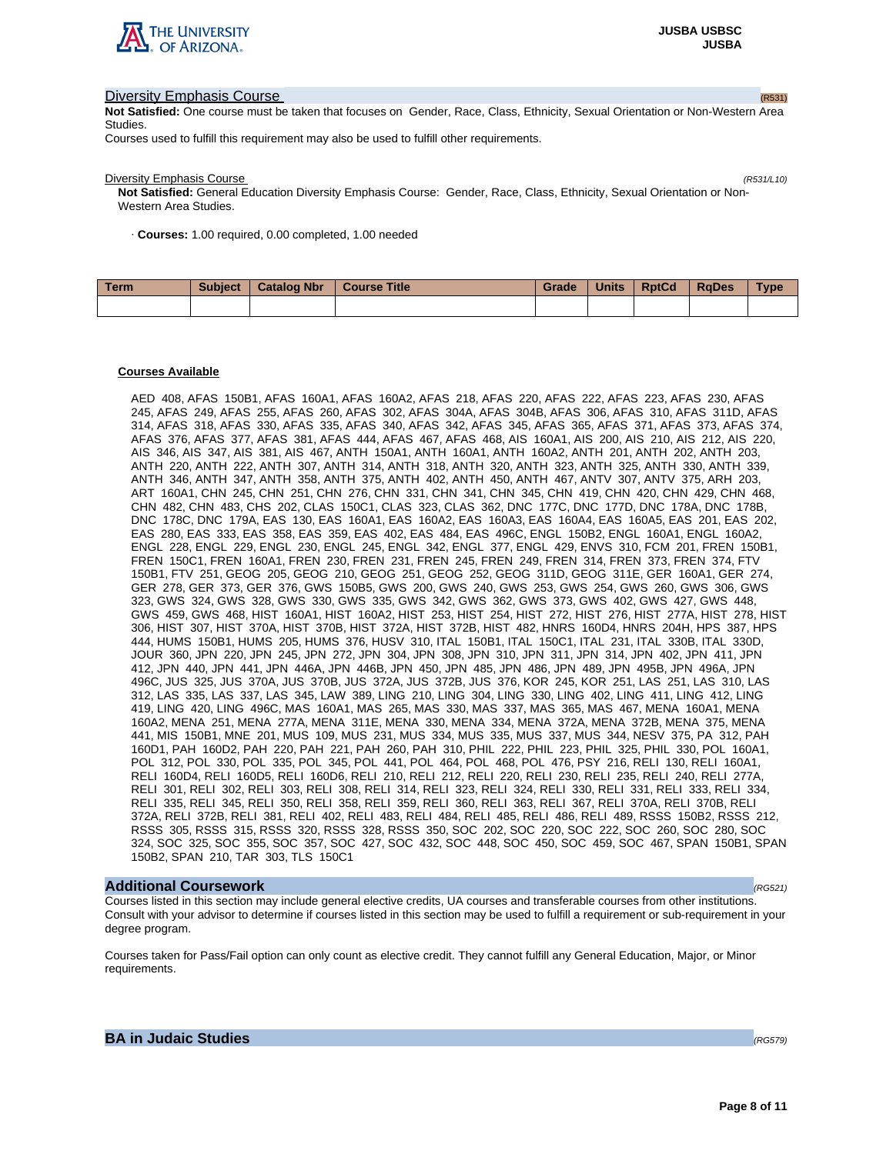

# **Diversity Emphasis Course (R531) Diversity Emphasis Course (R531)**

**Not Satisfied:** One course must be taken that focuses on Gender, Race, Class, Ethnicity, Sexual Orientation or Non-Western Area Studies.

Courses used to fulfill this requirement may also be used to fulfill other requirements.

**Diversity Emphasis Course** (R531/L10)

**Not Satisfied:** General Education Diversity Emphasis Course: Gender, Race, Class, Ethnicity, Sexual Orientation or Non-Western Area Studies.

· **Courses:** 1.00 required, 0.00 completed, 1.00 needed

| Term | <b>Subject</b> | <b>Catalog Nbr</b> | <b>Course Title</b> | <b>Grade</b> | <b>Units</b> | <b>RptCd</b> | <b>RaDes</b> | <b>Type</b> |
|------|----------------|--------------------|---------------------|--------------|--------------|--------------|--------------|-------------|
|      |                |                    |                     |              |              |              |              |             |

#### **Courses Available**

AED 408, AFAS 150B1, AFAS 160A1, AFAS 160A2, AFAS 218, AFAS 220, AFAS 222, AFAS 223, AFAS 230, AFAS 245, AFAS 249, AFAS 255, AFAS 260, AFAS 302, AFAS 304A, AFAS 304B, AFAS 306, AFAS 310, AFAS 311D, AFAS 314, AFAS 318, AFAS 330, AFAS 335, AFAS 340, AFAS 342, AFAS 345, AFAS 365, AFAS 371, AFAS 373, AFAS 374, AFAS 376, AFAS 377, AFAS 381, AFAS 444, AFAS 467, AFAS 468, AIS 160A1, AIS 200, AIS 210, AIS 212, AIS 220, AIS 346, AIS 347, AIS 381, AIS 467, ANTH 150A1, ANTH 160A1, ANTH 160A2, ANTH 201, ANTH 202, ANTH 203, ANTH 220, ANTH 222, ANTH 307, ANTH 314, ANTH 318, ANTH 320, ANTH 323, ANTH 325, ANTH 330, ANTH 339, ANTH 346, ANTH 347, ANTH 358, ANTH 375, ANTH 402, ANTH 450, ANTH 467, ANTV 307, ANTV 375, ARH 203, ART 160A1, CHN 245, CHN 251, CHN 276, CHN 331, CHN 341, CHN 345, CHN 419, CHN 420, CHN 429, CHN 468, CHN 482, CHN 483, CHS 202, CLAS 150C1, CLAS 323, CLAS 362, DNC 177C, DNC 177D, DNC 178A, DNC 178B, DNC 178C, DNC 179A, EAS 130, EAS 160A1, EAS 160A2, EAS 160A3, EAS 160A4, EAS 160A5, EAS 201, EAS 202, EAS 280, EAS 333, EAS 358, EAS 359, EAS 402, EAS 484, EAS 496C, ENGL 150B2, ENGL 160A1, ENGL 160A2, ENGL 228, ENGL 229, ENGL 230, ENGL 245, ENGL 342, ENGL 377, ENGL 429, ENVS 310, FCM 201, FREN 150B1, FREN 150C1, FREN 160A1, FREN 230, FREN 231, FREN 245, FREN 249, FREN 314, FREN 373, FREN 374, FTV 150B1, FTV 251, GEOG 205, GEOG 210, GEOG 251, GEOG 252, GEOG 311D, GEOG 311E, GER 160A1, GER 274, GER 278, GER 373, GER 376, GWS 150B5, GWS 200, GWS 240, GWS 253, GWS 254, GWS 260, GWS 306, GWS 323, GWS 324, GWS 328, GWS 330, GWS 335, GWS 342, GWS 362, GWS 373, GWS 402, GWS 427, GWS 448, GWS 459, GWS 468, HIST 160A1, HIST 160A2, HIST 253, HIST 254, HIST 272, HIST 276, HIST 277A, HIST 278, HIST 306, HIST 307, HIST 370A, HIST 370B, HIST 372A, HIST 372B, HIST 482, HNRS 160D4, HNRS 204H, HPS 387, HPS 444, HUMS 150B1, HUMS 205, HUMS 376, HUSV 310, ITAL 150B1, ITAL 150C1, ITAL 231, ITAL 330B, ITAL 330D, JOUR 360, JPN 220, JPN 245, JPN 272, JPN 304, JPN 308, JPN 310, JPN 311, JPN 314, JPN 402, JPN 411, JPN 412, JPN 440, JPN 441, JPN 446A, JPN 446B, JPN 450, JPN 485, JPN 486, JPN 489, JPN 495B, JPN 496A, JPN 496C, JUS 325, JUS 370A, JUS 370B, JUS 372A, JUS 372B, JUS 376, KOR 245, KOR 251, LAS 251, LAS 310, LAS 312, LAS 335, LAS 337, LAS 345, LAW 389, LING 210, LING 304, LING 330, LING 402, LING 411, LING 412, LING 419, LING 420, LING 496C, MAS 160A1, MAS 265, MAS 330, MAS 337, MAS 365, MAS 467, MENA 160A1, MENA 160A2, MENA 251, MENA 277A, MENA 311E, MENA 330, MENA 334, MENA 372A, MENA 372B, MENA 375, MENA 441, MIS 150B1, MNE 201, MUS 109, MUS 231, MUS 334, MUS 335, MUS 337, MUS 344, NESV 375, PA 312, PAH 160D1, PAH 160D2, PAH 220, PAH 221, PAH 260, PAH 310, PHIL 222, PHIL 223, PHIL 325, PHIL 330, POL 160A1, POL 312, POL 330, POL 335, POL 345, POL 441, POL 464, POL 468, POL 476, PSY 216, RELI 130, RELI 160A1, RELI 160D4, RELI 160D5, RELI 160D6, RELI 210, RELI 212, RELI 220, RELI 230, RELI 235, RELI 240, RELI 277A, RELI 301, RELI 302, RELI 303, RELI 308, RELI 314, RELI 323, RELI 324, RELI 330, RELI 331, RELI 333, RELI 334, RELI 335, RELI 345, RELI 350, RELI 358, RELI 359, RELI 360, RELI 363, RELI 367, RELI 370A, RELI 370B, RELI 372A, RELI 372B, RELI 381, RELI 402, RELI 483, RELI 484, RELI 485, RELI 486, RELI 489, RSSS 150B2, RSSS 212, RSSS 305, RSSS 315, RSSS 320, RSSS 328, RSSS 350, SOC 202, SOC 220, SOC 222, SOC 260, SOC 280, SOC 324, SOC 325, SOC 355, SOC 357, SOC 427, SOC 432, SOC 448, SOC 450, SOC 459, SOC 467, SPAN 150B1, SPAN 150B2, SPAN 210, TAR 303, TLS 150C1

## **Additional Coursework** (RG521)

Courses listed in this section may include general elective credits, UA courses and transferable courses from other institutions. Consult with your advisor to determine if courses listed in this section may be used to fulfill a requirement or sub-requirement in your degree program.

Courses taken for Pass/Fail option can only count as elective credit. They cannot fulfill any General Education, Major, or Minor requirements.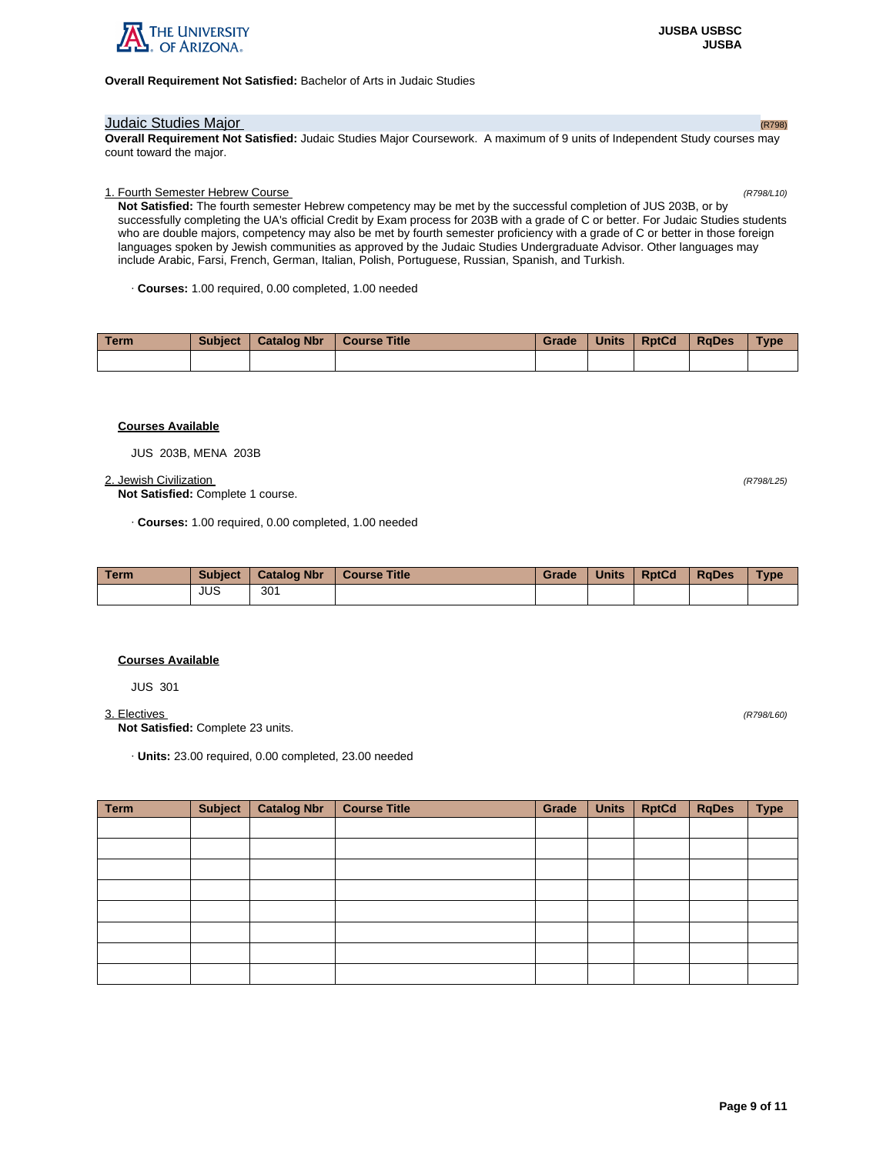

# **Overall Requirement Not Satisfied:** Bachelor of Arts in Judaic Studies

# **Judaic Studies Major** (R798)

**Overall Requirement Not Satisfied:** Judaic Studies Major Coursework. A maximum of 9 units of Independent Study courses may count toward the major.

# 1. Fourth Semester Hebrew Course (R798/L10)

**Not Satisfied:** The fourth semester Hebrew competency may be met by the successful completion of JUS 203B, or by successfully completing the UA's official Credit by Exam process for 203B with a grade of C or better. For Judaic Studies students who are double majors, competency may also be met by fourth semester proficiency with a grade of C or better in those foreign languages spoken by Jewish communities as approved by the Judaic Studies Undergraduate Advisor. Other languages may include Arabic, Farsi, French, German, Italian, Polish, Portuguese, Russian, Spanish, and Turkish.

· **Courses:** 1.00 required, 0.00 completed, 1.00 needed

| Term | <b>Subject</b> | <b>Catalog Nbr</b> | <b>Course Title</b> | Grade | <b>Units</b> | <b>RptCd</b> | RaDes | <b>Type</b> |
|------|----------------|--------------------|---------------------|-------|--------------|--------------|-------|-------------|
|      |                |                    |                     |       |              |              |       |             |

# **Courses Available**

JUS 203B, MENA 203B

## 2. Jewish Civilization (R798/L25)

**Not Satisfied:** Complete 1 course.

· **Courses:** 1.00 required, 0.00 completed, 1.00 needed

| <b>Term</b> | <b>Subject</b> | <b>Catalog Nbr</b> | <b>Course Title</b> | Grade | <b>Units</b> | <b>RptCd</b> | RaDes | <b>Type</b> |
|-------------|----------------|--------------------|---------------------|-------|--------------|--------------|-------|-------------|
|             | JUS            | 301                |                     |       |              |              |       |             |

# **Courses Available**

JUS 301

3. Electives (R798/L60)

**Not Satisfied:** Complete 23 units.

· **Units:** 23.00 required, 0.00 completed, 23.00 needed

| <b>Term</b> | <b>Subject</b> | <b>Catalog Nbr</b> | <b>Course Title</b> | Grade | <b>Units</b> | <b>RptCd</b> | <b>RqDes</b> | <b>Type</b> |
|-------------|----------------|--------------------|---------------------|-------|--------------|--------------|--------------|-------------|
|             |                |                    |                     |       |              |              |              |             |
|             |                |                    |                     |       |              |              |              |             |
|             |                |                    |                     |       |              |              |              |             |
|             |                |                    |                     |       |              |              |              |             |
|             |                |                    |                     |       |              |              |              |             |
|             |                |                    |                     |       |              |              |              |             |
|             |                |                    |                     |       |              |              |              |             |
|             |                |                    |                     |       |              |              |              |             |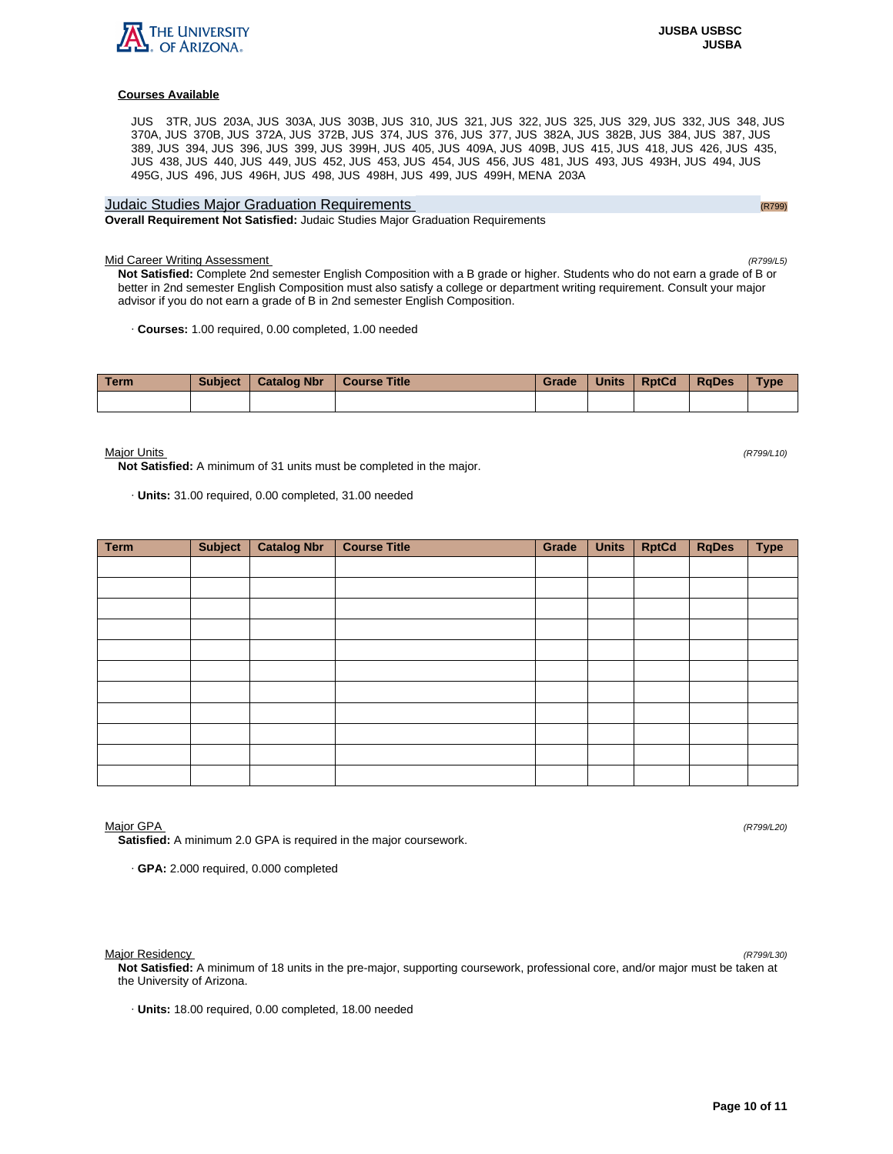

JUS 3TR, JUS 203A, JUS 303A, JUS 303B, JUS 310, JUS 321, JUS 322, JUS 325, JUS 329, JUS 332, JUS 348, JUS 370A, JUS 370B, JUS 372A, JUS 372B, JUS 374, JUS 376, JUS 377, JUS 382A, JUS 382B, JUS 384, JUS 387, JUS 389, JUS 394, JUS 396, JUS 399, JUS 399H, JUS 405, JUS 409A, JUS 409B, JUS 415, JUS 418, JUS 426, JUS 435, JUS 438, JUS 440, JUS 449, JUS 452, JUS 453, JUS 454, JUS 456, JUS 481, JUS 493, JUS 493H, JUS 494, JUS 495G, JUS 496, JUS 496H, JUS 498, JUS 498H, JUS 499, JUS 499H, MENA 203A

# Judaic Studies Major Graduation Requirements (R799) Contract Contract Contract Contract Contract Contract Contract Contract Contract Contract Contract Contract Contract Contract Contract Contract Contract Contract Contract **Overall Requirement Not Satisfied:** Judaic Studies Major Graduation Requirements

Mid Career Writing Assessment (R799/L5)

**Not Satisfied:** Complete 2nd semester English Composition with a B grade or higher. Students who do not earn a grade of B or better in 2nd semester English Composition must also satisfy a college or department writing requirement. Consult your major advisor if you do not earn a grade of B in 2nd semester English Composition.

· **Courses:** 1.00 required, 0.00 completed, 1.00 needed

| Term | <b>Subject</b> | Catalog Nbr   Course Title | <b>Grade</b> | Units RptCd | <b>RaDes</b> | Type |
|------|----------------|----------------------------|--------------|-------------|--------------|------|
|      |                |                            |              |             |              |      |

Major Units (R799/L10)

**Not Satisfied:** A minimum of 31 units must be completed in the major.

· **Units:** 31.00 required, 0.00 completed, 31.00 needed

| <b>Term</b> | Subject | <b>Catalog Nbr</b> | <b>Course Title</b> | Grade | <b>Units</b> | <b>RptCd</b> | <b>RqDes</b> | <b>Type</b> |
|-------------|---------|--------------------|---------------------|-------|--------------|--------------|--------------|-------------|
|             |         |                    |                     |       |              |              |              |             |
|             |         |                    |                     |       |              |              |              |             |
|             |         |                    |                     |       |              |              |              |             |
|             |         |                    |                     |       |              |              |              |             |
|             |         |                    |                     |       |              |              |              |             |
|             |         |                    |                     |       |              |              |              |             |
|             |         |                    |                     |       |              |              |              |             |
|             |         |                    |                     |       |              |              |              |             |
|             |         |                    |                     |       |              |              |              |             |
|             |         |                    |                     |       |              |              |              |             |
|             |         |                    |                     |       |              |              |              |             |

Major GPA (R799/L20)

**Satisfied:** A minimum 2.0 GPA is required in the major coursework.

· **GPA:** 2.000 required, 0.000 completed

Major Residency (R799/L30)

**Not Satisfied:** A minimum of 18 units in the pre-major, supporting coursework, professional core, and/or major must be taken at the University of Arizona.

· **Units:** 18.00 required, 0.00 completed, 18.00 needed